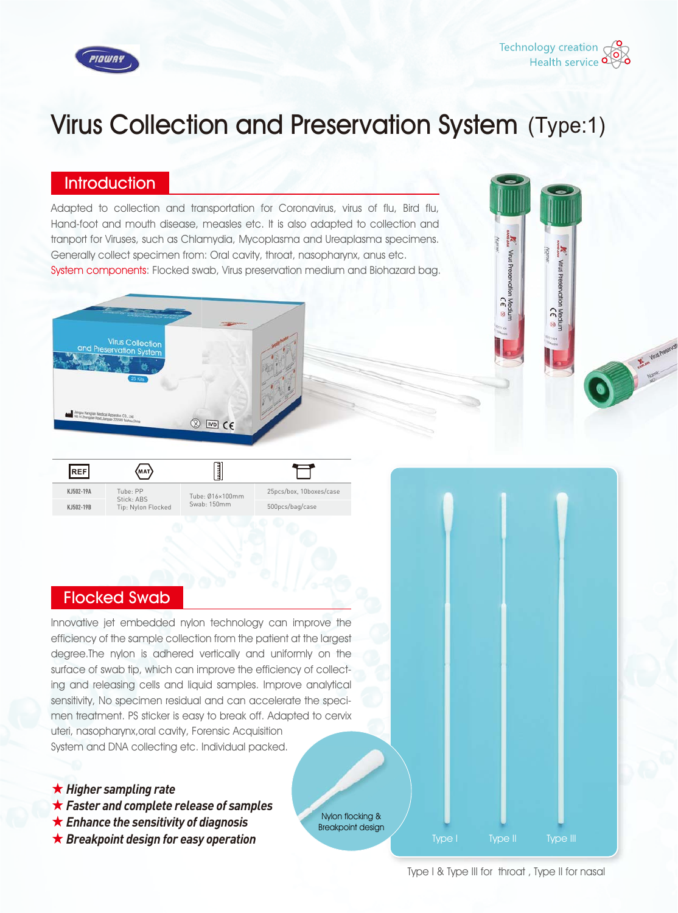



'n

Preservation

 $\mathbf{a}$ 

CE

# Virus Collection and Preservation System (Type:1)

#### **Introduction**

Adapted to collection and transportation for Coronavirus, virus of flu, Bird flu, Hand-foot and mouth disease, measles etc. It is also adapted to collection and tranport for Viruses, such as Chlamydia, Mycoplasma and Ureaplasma specimens. Generally collect specimen from: Oral cavity, throat, nasopharynx, anus etc. System components: Flocked swab, Virus preservation medium and Biohazard bag.



| REF       | (мат)                                        |                                |                         |
|-----------|----------------------------------------------|--------------------------------|-------------------------|
| KJ502-19A | Tube: PP<br>Stick: ABS<br>Tip: Nylon Flocked | Tube: 016×100mm<br>Swab: 150mm | 25pcs/box, 10boxes/case |
| KJ502-19B |                                              |                                | 500pcs/bag/case         |
|           |                                              |                                |                         |

## Flocked Swab

Innovative jet embedded nylon technology can improve the efficiency of the sample collection from the patient at the largest degree.The nylon is adhered vertically and uniformly on the surface of swab tip, which can improve the efficiency of collecting and releasing cells and liquid samples. Improve analytical sensitivity, No specimen residual and can accelerate the specimen treatment. PS sticker is easy to break off. Adapted to cervix uteri, nasopharynx,oral cavity, Forensic Acquisition System and DNA collecting etc. Individual packed.

- ★ *Higher sampling rate*
- ★ *Faster and complete release of samples*
- ★ *Enhance the sensitivity of diagnosis*
- ★ *Breakpoint design for easy operation*

Nylon flocking & Breakpoint design